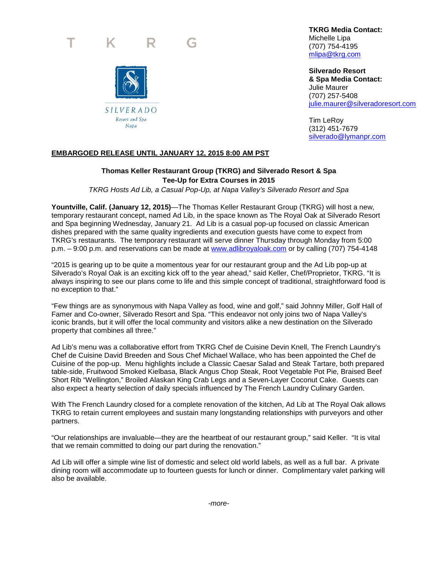#### K. R.



 **TKRG Media Contact:**  Michelle Lipa

(707) 754-4195 [mlipa@tkrg.com](mailto:mlipa@tkrg.com)

 **Silverado Resort & Spa Media Contact:**  Julie Maurer (707) 257-5408 [julie.maurer@silveradoresort.com](mailto:julie.maurer@silveradoresort.com)

Tim LeRoy (312) 451-7679 [silverado@lymanpr.com](mailto:silverado@lymanpr.com)

## **EMBARGOED RELEASE UNTIL JANUARY 12, 2015 8:00 AM PST**

# **Thomas Keller Restaurant Group (TKRG) and Silverado Resort & Spa Tee-Up for Extra Courses in 2015**

*TKRG Hosts Ad Lib, a Casual Pop-Up, at Napa Valley's Silverado Resort and Spa*

**Yountville, Calif. (January 12, 2015)**—The Thomas Keller Restaurant Group (TKRG) will host a new, temporary restaurant concept, named Ad Lib, in the space known as The Royal Oak at Silverado Resort and Spa beginning Wednesday, January 21. Ad Lib is a casual pop-up focused on classic American dishes prepared with the same quality ingredients and execution guests have come to expect from TKRG's restaurants. The temporary restaurant will serve dinner Thursday through Monday from 5:00 p.m. – 9:00 p.m. and reservations can be made at [www.adlibroyaloak.com](http://www.adlibroyaloak.com/) or by calling (707) 754-4148

"2015 is gearing up to be quite a momentous year for our restaurant group and the Ad Lib pop-up at Silverado's Royal Oak is an exciting kick off to the year ahead," said Keller, Chef/Proprietor, TKRG. "It is always inspiring to see our plans come to life and this simple concept of traditional, straightforward food is no exception to that."

"Few things are as synonymous with Napa Valley as food, wine and golf," said Johnny Miller, Golf Hall of Famer and Co-owner, Silverado Resort and Spa. "This endeavor not only joins two of Napa Valley's iconic brands, but it will offer the local community and visitors alike a new destination on the Silverado property that combines all three."

Ad Lib's menu was a collaborative effort from TKRG Chef de Cuisine Devin Knell, The French Laundry's Chef de Cuisine David Breeden and Sous Chef Michael Wallace, who has been appointed the Chef de Cuisine of the pop-up. Menu highlights include a Classic Caesar Salad and Steak Tartare, both prepared table-side, Fruitwood Smoked Kielbasa, Black Angus Chop Steak, Root Vegetable Pot Pie, Braised Beef Short Rib "Wellington," Broiled Alaskan King Crab Legs and a Seven-Layer Coconut Cake. Guests can also expect a hearty selection of daily specials influenced by The French Laundry Culinary Garden.

With The French Laundry closed for a complete renovation of the kitchen, Ad Lib at The Royal Oak allows TKRG to retain current employees and sustain many longstanding relationships with purveyors and other partners.

"Our relationships are invaluable—they are the heartbeat of our restaurant group," said Keller. "It is vital that we remain committed to doing our part during the renovation."

Ad Lib will offer a simple wine list of domestic and select old world labels, as well as a full bar. A private dining room will accommodate up to fourteen guests for lunch or dinner. Complimentary valet parking will also be available.